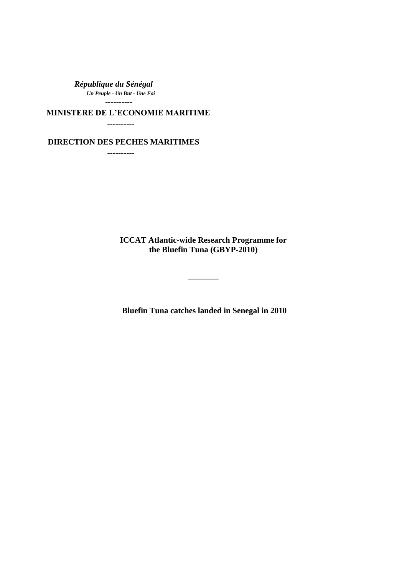*République du Sénégal Un Peuple - Un But - Une Foi*  **----------**

**MINISTERE DE L'ECONOMIE MARITIME**

 **----------**

 **DIRECTION DES PECHES MARITIMES**

 **----------**

**ICCAT Atlantic-wide Research Programme for the Bluefin Tuna (GBYP-2010)**

**\_\_\_\_\_\_\_\_**

**Bluefin Tuna catches landed in Senegal in 2010**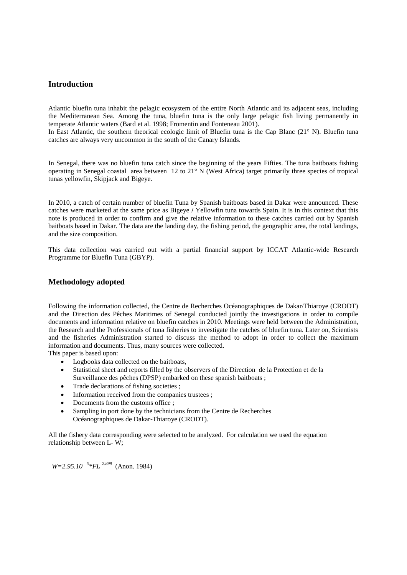## **Introduction**

Atlantic bluefin tuna inhabit the pelagic ecosystem of the entire North Atlantic and its adjacent seas, including the Mediterranean Sea. Among the tuna, bluefin tuna is the only large pelagic fish living permanently in temperate Atlantic waters (Bard et al. 1998; Fromentin and Fonteneau 2001).

In East Atlantic, the southern theorical ecologic limit of Bluefin tuna is the Cap Blanc (21° N). Bluefin tuna catches are always very uncommon in the south of the Canary Islands.

In Senegal, there was no bluefin tuna catch since the beginning of the years Fifties. The tuna baitboats fishing operating in Senegal coastal area between 12 to 21° N (West Africa) target primarily three species of tropical tunas yellowfin, Skipjack and Bigeye.

In 2010, a catch of certain number of bluefin Tuna by Spanish baitboats based in Dakar were announced. These catches were marketed at the same price as Bigeye **/** Yellowfin tuna towards Spain. It is in this context that this note is produced in order to confirm and give the relative information to these catches carried out by Spanish baitboats based in Dakar. The data are the landing day, the fishing period, the geographic area, the total landings, and the size composition.

This data collection was carried out with a partial financial support by ICCAT Atlantic-wide Research Programme for Bluefin Tuna (GBYP).

### **Methodology adopted**

Following the information collected, the Centre de Recherches Océanographiques de Dakar/Thiaroye (CRODT) and the Direction des Pêches Maritimes of Senegal conducted jointly the investigations in order to compile documents and information relative on bluefin catches in 2010. Meetings were held between the Administration, the Research and the Professionals of tuna fisheries to investigate the catches of bluefin tuna. Later on, Scientists and the fisheries Administration started to discuss the method to adopt in order to collect the maximum information and documents. Thus, many sources were collected.

This paper is based upon:

- Logbooks data collected on the baitboats,
- Statistical sheet and reports filled by the observers of the Direction de la Protection et de la Surveillance des pêches (DPSP) embarked on these spanish baitboats ;
- Trade declarations of fishing societies ;
- Information received from the companies trustees ;
- Documents from the customs office ;
- Sampling in port done by the technicians from the Centre de Recherches Océanographiques de Dakar-Thiaroye (CRODT).

All the fishery data corresponding were selected to be analyzed. For calculation we used the equation relationship between L- W;

*W*=2.95.10<sup>-5</sup>\*FL<sup>2.899</sup> (Anon. 1984)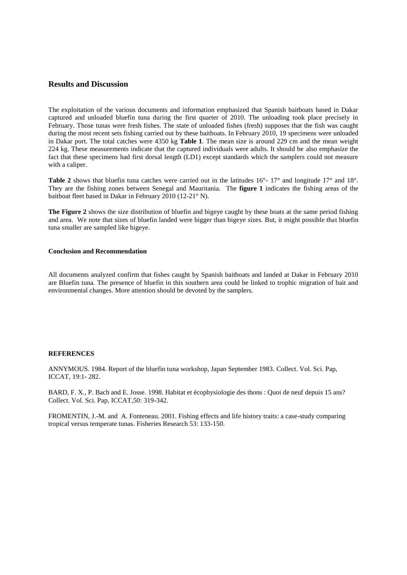## **Results and Discussion**

The exploitation of the various documents and information emphasized that Spanish baitboats based in Dakar captured and unloaded bluefin tuna during the first quarter of 2010. The unloading took place precisely in February. Those tunas were fresh fishes. The state of unloaded fishes (fresh) supposes that the fish was caught during the most recent sets fishing carried out by these baitboats. In February 2010, 19 specimens were unloaded in Dakar port. The total catches were 4350 kg **Table 1**. The mean size is around 229 cm and the mean weight 224 kg. These measurements indicate that the captured individuals were adults. It should be also emphasize the fact that these specimens had first dorsal length (LD1) except standards which the samplers could not measure with a caliper.

Table 2 shows that bluefin tuna catches were carried out in the latitudes  $16^{\circ}$ - 17° and longitude 17° and 18°. They are the fishing zones between Senegal and Mauritania. The **figure 1** indicates the fishing areas of the baitboat fleet based in Dakar in February 2010 (12-21° N).

**The Figure 2** shows the size distribution of bluefin and bigeye caught by these boats at the same period fishing and area. We note that sizes of bluefin landed were bigger than bigeye sizes. But, it might possible that bluefin tuna smaller are sampled like bigeye.

#### **Conclusion and Recommendation**

All documents analyzed confirm that fishes caught by Spanish baitboats and landed at Dakar in February 2010 are Bluefin tuna. The presence of bluefin in this southern area could be linked to trophic migration of bait and environmental changes. More attention should be devoted by the samplers.

#### **REFERENCES**

ANNYMOUS. 1984. Report of the bluefin tuna workshop, Japan September 1983. Collect. Vol. Sci. Pap, ICCAT, 19:1- 282.

BARD, F. X., P. Bach and E. Josse. 1998. Habitat et écophysiologie des thons : Quoi de neuf depuis 15 ans? Collect. Vol. Sci. Pap, ICCAT,50: 319-342.

FROMENTIN, J.-M. and A. Fonteneau. 2001. Fishing effects and life history traits: a case-study comparing tropical versus temperate tunas. Fisheries Research 53: 133-150.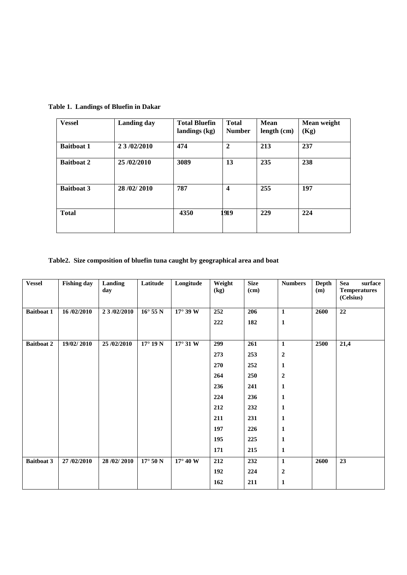| <b>Vessel</b>     | <b>Landing day</b> | <b>Total Bluefin</b><br>landings (kg) | <b>Total</b><br><b>Number</b> | <b>Mean</b><br>length (cm) | Mean weight<br>(Kg) |
|-------------------|--------------------|---------------------------------------|-------------------------------|----------------------------|---------------------|
| <b>Baitboat 1</b> | 2 3 /02/2010       | 474                                   | $\mathbf{2}$                  | 213                        | 237                 |
| <b>Baitboat 2</b> | 25/02/2010         | 3089                                  | 13                            | 235                        | 238                 |
| <b>Baitboat 3</b> | 28/02/2010         | 787                                   | $\boldsymbol{4}$              | 255                        | 197                 |
| <b>Total</b>      |                    | 4350                                  | 919                           | 229                        | 224                 |

**Table 1. Landings of Bluefin in Dakar**

# **Table2. Size composition of bluefin tuna caught by geographical area and boat**

| <b>Vessel</b>     | <b>Fishing day</b> | <b>Landing</b><br>day | Latitude          | Longitude         | Weight<br>$\left(\text{kg}\right)$ | <b>Size</b><br>$(cm)$ | <b>Numbers</b>   | Depth<br>(m) | <b>Sea</b><br>surface<br><b>Temperatures</b><br>(Celsius) |
|-------------------|--------------------|-----------------------|-------------------|-------------------|------------------------------------|-----------------------|------------------|--------------|-----------------------------------------------------------|
| <b>Baitboat 1</b> | 16/02/2010         | 2 3 /02/2010          | $16^{\circ}$ 55 N | $17^\circ 39$ W   | 252                                | 206                   | $\mathbf{1}$     | 2600         | $\overline{22}$                                           |
|                   |                    |                       |                   |                   | 222                                | 182                   | $\mathbf 1$      |              |                                                           |
| <b>Baitboat 2</b> | 19/02/2010         | 25/02/2010            | $17^{\circ}$ 19 N | $17^{\circ}$ 31 W | 299                                | 261                   | $\mathbf{1}$     | 2500         | 21,4                                                      |
|                   |                    |                       |                   |                   | 273                                | 253                   | $\boldsymbol{2}$ |              |                                                           |
|                   |                    |                       |                   |                   | 270                                | 252                   | $\mathbf{1}$     |              |                                                           |
|                   |                    |                       |                   |                   | 264                                | 250                   | $\boldsymbol{2}$ |              |                                                           |
|                   |                    |                       |                   |                   | 236                                | 241                   | $\mathbf{1}$     |              |                                                           |
|                   |                    |                       |                   |                   | 224                                | 236                   | 1                |              |                                                           |
|                   |                    |                       |                   |                   | 212                                | 232                   | $\mathbf{1}$     |              |                                                           |
|                   |                    |                       |                   |                   | 211                                | 231                   | $\mathbf{1}$     |              |                                                           |
|                   |                    |                       |                   |                   | 197                                | 226                   | $\mathbf{1}$     |              |                                                           |
|                   |                    |                       |                   |                   | 195                                | 225                   | 1                |              |                                                           |
|                   |                    |                       |                   |                   | 171                                | 215                   | $\mathbf{1}$     |              |                                                           |
| <b>Baitboat 3</b> | 27/02/2010         | 28/02/2010            | $17^{\circ}$ 50 N | $17^{\circ}$ 40 W | 212                                | 232                   | $\mathbf{1}$     | 2600         | 23                                                        |
|                   |                    |                       |                   |                   | 192                                | 224                   | $\boldsymbol{2}$ |              |                                                           |
|                   |                    |                       |                   |                   | 162                                | 211                   | $\mathbf{1}$     |              |                                                           |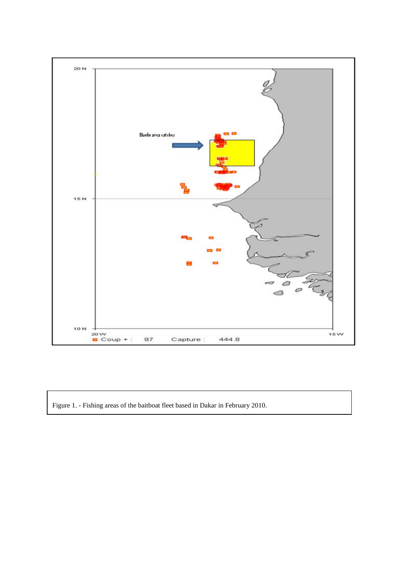

Figure 1. - Fishing areas of the baitboat fleet based in Dakar in February 2010.